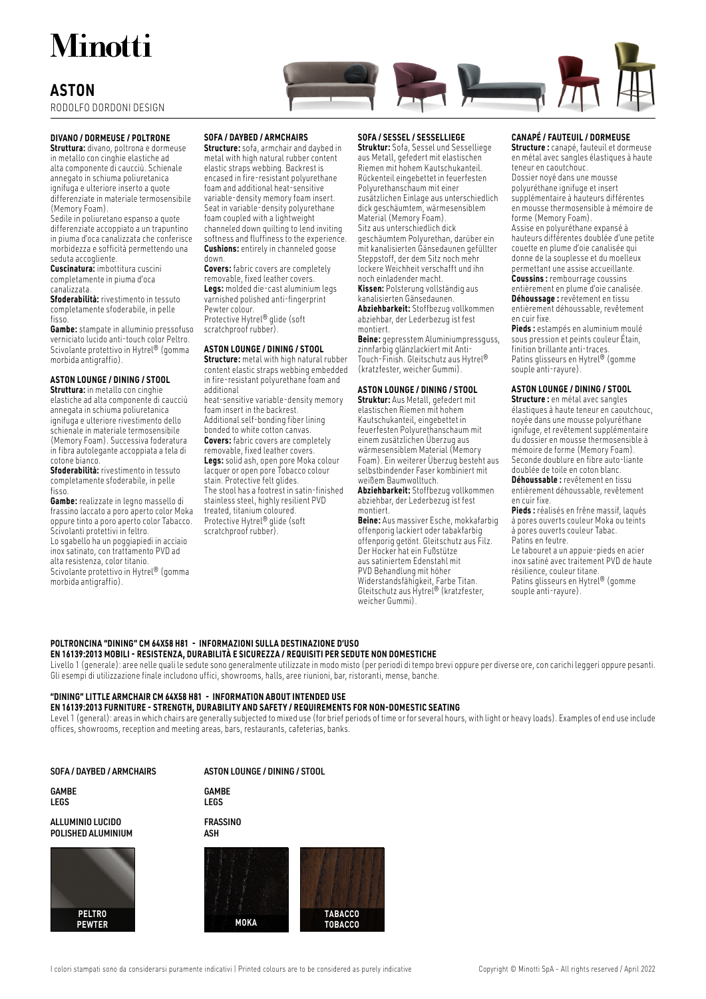# Minotti

### **ASTON**

RODOLFO DORDONI DESIGN

#### **DIVANO / DORMEUSE / POLTRONE**

**Struttura:** divano, poltrona e dormeuse in metallo con cinghie elastiche ad alta componente di caucciù. Schienale annegato in schiuma poliuretanica ignifuga e ulteriore inserto a quote differenziate in materiale termosensibile (Memory Foam).

Sedile in poliuretano espanso a quote differenziate accoppiato a un trapuntino in piuma d'oca canalizzata che conferisce morbidezza e sofficità permettendo una seduta accogliente

**Cuscinatura:** imbottitura cuscini completamente in piuma d'oca canalizzata.

**Sfoderabilità:** rivestimento in tessuto completamente sfoderabile, in pelle fisso.

**Gambe:** stampate in alluminio pressofuso verniciato lucido anti-touch color Peltro. Scivolante protettivo in Hytrel® (gomma morbida antigraffio).

#### **ASTON LOUNGE / DINING / STOOL**

**Struttura:** in metallo con cinghie elastiche ad alta componente di caucciù annegata in schiuma poliuretanica ignifuga e ulteriore rivestimento dello schienale in materiale termosensibile (Memory Foam). Successiva foderatura in fibra autolegante accoppiata a tela di cotone bianco.

**Sfoderabilità:** rivestimento in tessuto completamente sfoderabile, in pelle fisso.

**Gambe:** realizzate in legno massello di frassino laccato a poro aperto color Moka oppure tinto a poro aperto color Tabacco. Scivolanti protettivi in feltro. Lo sgabello ha un poggiapiedi in acciaio inox satinato, con trattamento PVD ad alta resistenza, color titanio. Scivolante protettivo in Hytrel® (gomma morbida antigraffio).



#### **SOFA / DAYBED / ARMCHAIRS**

**Structure:** sofa, armchair and daybed in metal with high natural rubber content elastic straps webbing. Backrest is encased in fire-resistant polyurethane foam and additional heat-sensitive variable-density memory foam insert. Seat in variable-density polyurethane foam coupled with a lightweight channeled down quilting to lend inviting softness and fluffiness to the experience. **Cushions:** entirely in channeled goose down.

**Covers:** fabric covers are completely removable, fixed leather covers. **Legs:** molded die-cast aluminium legs varnished polished anti-fingerprint Pewter colour. Protective Hytrel® glide (soft scratchproof rubber).

#### **ASTON LOUNGE / DINING / STOOL**

**Structure:** metal with high natural rubber content elastic straps webbing embedded in fire-resistant polyurethane foam and additional heat-sensitive variable-density memory foam insert in the backrest. Additional self-bonding fiber lining bonded to white cotton canvas. **Covers:** fabric covers are completely removable, fixed leather covers. **Legs:** solid ash, open pore Moka colour lacquer or open pore Tobacco colour

stain. Protective felt glides. The stool has a footrest in satin-finished stainless steel, highly resilient PVD treated, titanium coloured. Protective Hytrel® glide (soft scratchproof rubber).

#### **SOFA / SESSEL / SESSELLIEGE**

**Struktur:** Sofa, Sessel und Sesselliege aus Metall, gefedert mit elastischen Riemen mit hohem Kautschukanteil. Rückenteil eingebettet in feuerfesten Polyurethanschaum mit einer zusätzlichen Einlage aus unterschiedlich dick geschäumtem, wärmesensiblem Material (Memory Foam). Sitz aus unterschiedlich dick geschäumtem Polyurethan, darüber ein mit kanalisierten Gänsedaunen gefüllter Steppstoff, der dem Sitz noch mehr lockere Weichheit verschafft und ihn noch einladender macht. **Kissen:** Polsterung vollständig aus kanalisierten Gänsedaunen. **Abziehbarkeit:** Stoffbezug vollkommen abziehbar, der Lederbezug ist fest montiert.

**Beine:** gepresstem Aluminiumpressguss, zinnfarbig glänzlackiert mit Anti-Touch-Finish. Gleitschutz aus Hytrel® (kratzfester, weicher Gummi).

#### **ASTON LOUNGE / DINING / STOOL**

**Struktur:** Aus Metall, gefedert mit elastischen Riemen mit hohem Kautschukanteil, eingebettet in feuerfesten Polyurethanschaum mit einem zusätzlichen Überzug aus wärmesensiblem Material (Memory Foam). Ein weiterer Überzug besteht aus selbstbindender Faser kombiniert mit weißem Baumwolltuch.

**Abziehbarkeit:** Stoffbezug vollkommen abziehbar, der Lederbezug ist fest montiert.

**Beine:** Aus massiver Esche, mokkafarbig offenporig lackiert oder tabakfarbig offenporig getönt. Gleitschutz aus Filz. Der Hocker hat ein Fußstütze aus satiniertem Edenstahl mit PVD Behandlung mit höher Widerstandsfähigkeit, Farbe Titan. Gleitschutz aus Hytrel® (kratzfester, weicher Gummi).

#### **CANAPÉ / FAUTEUIL / DORMEUSE**

**Structure :** canapé, fauteuil et dormeuse en métal avec sangles élastiques à haute teneur en caoutchouc.

Dossier noyé dans une mousse polyuréthane ignifuge et insert supplémentaire à hauteurs différentes en mousse thermosensible à mémoire de forme (Memory Foam). Assise en polyuréthane expansé à

hauteurs différentes doublée d'une petite couette en plume d'oie canalisée qui donne de la souplesse et du moelleux permettant une assise accueillante. **Coussins :** rembourrage coussins entièrement en plume d'oie canalisée. **Déhoussage :** revêtement en tissu

entièrement déhoussable, revêtement en cuir fixe.

**Pieds :** estampés en aluminium moulé sous pression et peints couleur Étain, finition brillante anti-traces. Patins glisseurs en Hytrel® (gomme souple anti-rayure).

#### **ASTON LOUNGE / DINING / STOOL**

**Structure :** en métal avec sangles élastiques à haute teneur en caoutchouc, noyée dans une mousse polyuréthane ignifuge, et revêtement supplémentaire du dossier en mousse thermosensible à mémoire de forme (Memory Foam). Seconde doublure en fibre auto-liante doublée de toile en coton blanc.

**Déhoussable :** revêtement en tissu entièrement déhoussable, revêtement en cuir fixe.

**Pieds :** réalisés en frêne massif, laqués à pores ouverts couleur Moka ou teints à pores ouverts couleur Tabac.

Patins en feutre.

Le tabouret a un appuie-pieds en acier inox satiné avec traitement PVD de haute résilience, couleur titane. Patins glisseurs en Hytrel® (gomme souple anti-rayure).

#### POLTRONCINA "DINING" CM 64X58 H81 - INFORMAZIONI SULLA DESTINAZIONE D'USO **EN 16139:2013 MOBILI - RESISTENZA, DURABILITÀ E SICUREZZA / REQUISITI PER SEDUTE NON DOMESTICHE**

Livello 1 (generale): aree nelle quali le sedute sono generalmente utilizzate in modo misto (per periodi di tempo brevi oppure per diverse ore, con carichi leggeri oppure pesanti. Gli esempi di utilizzazione finale includono uffici, showrooms, halls, aree riunioni, bar, ristoranti, mense, banche.

#### **"DINING" LITTLE ARMCHAIR CM 64X58 H81 - INFORMATION ABOUT INTENDED USE**

### **EN 16139:2013 FURNITURE - STRENGTH, DURABILITY AND SAFETY / REQUIREMENTS FOR NON-DOMESTIC SEATING**

Level 1 (general): areas in which chairs are generally subjected to mixed use (for brief periods of time or for several hours, with light or heavy loads). Examples of end use include offices, showrooms, reception and meeting areas, bars, restaurants, cafeterias, banks.

#### SOFA / DAYBED / ARMCHAIRS ASTON LOUNGE / DINING / STOOL

GAMBE LEGS

ALLUMINIO LUCIDO POLISHED ALUMINIUM



**GAMBE** 

LEGS **FRASSINO** 

ASH